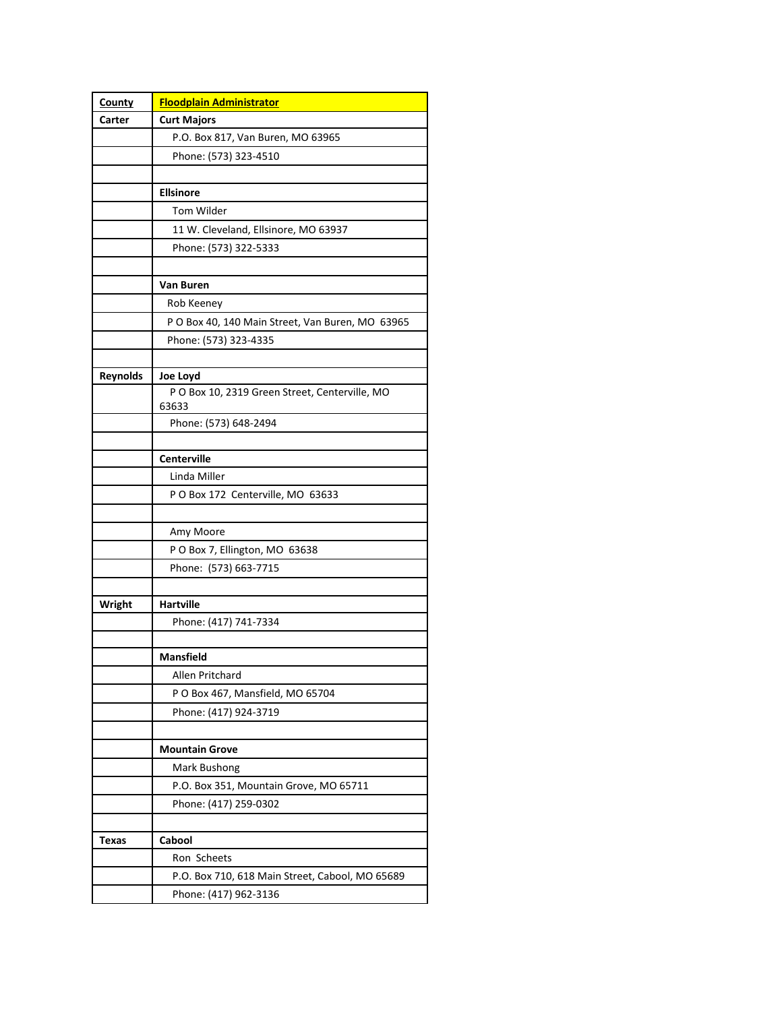| County          | <b>Floodplain Administrator</b>                  |
|-----------------|--------------------------------------------------|
| Carter          | <b>Curt Majors</b>                               |
|                 | P.O. Box 817, Van Buren, MO 63965                |
|                 | Phone: (573) 323-4510                            |
|                 |                                                  |
|                 | <b>Ellsinore</b>                                 |
|                 | Tom Wilder                                       |
|                 | 11 W. Cleveland, Ellsinore, MO 63937             |
|                 | Phone: (573) 322-5333                            |
|                 |                                                  |
|                 | Van Buren                                        |
|                 | Rob Keeney                                       |
|                 | P O Box 40, 140 Main Street, Van Buren, MO 63965 |
|                 | Phone: (573) 323-4335                            |
|                 |                                                  |
| <b>Reynolds</b> | Joe Loyd                                         |
|                 | P O Box 10, 2319 Green Street, Centerville, MO   |
|                 | 63633                                            |
|                 | Phone: (573) 648-2494                            |
|                 |                                                  |
|                 | <b>Centerville</b><br>Linda Miller               |
|                 | P O Box 172 Centerville, MO 63633                |
|                 |                                                  |
|                 | Amy Moore                                        |
|                 | P O Box 7, Ellington, MO 63638                   |
|                 | Phone: (573) 663-7715                            |
|                 |                                                  |
| Wright          | <b>Hartville</b>                                 |
|                 | Phone: (417) 741-7334                            |
|                 |                                                  |
|                 | <b>Mansfield</b>                                 |
|                 | Allen Pritchard                                  |
|                 | P O Box 467, Mansfield, MO 65704                 |
|                 | Phone: (417) 924-3719                            |
|                 |                                                  |
|                 | <b>Mountain Grove</b>                            |
|                 | Mark Bushong                                     |
|                 | P.O. Box 351, Mountain Grove, MO 65711           |
|                 | Phone: (417) 259-0302                            |
|                 |                                                  |
| Texas           | Cabool                                           |
|                 | Ron Scheets                                      |
|                 | P.O. Box 710, 618 Main Street, Cabool, MO 65689  |
|                 | Phone: (417) 962-3136                            |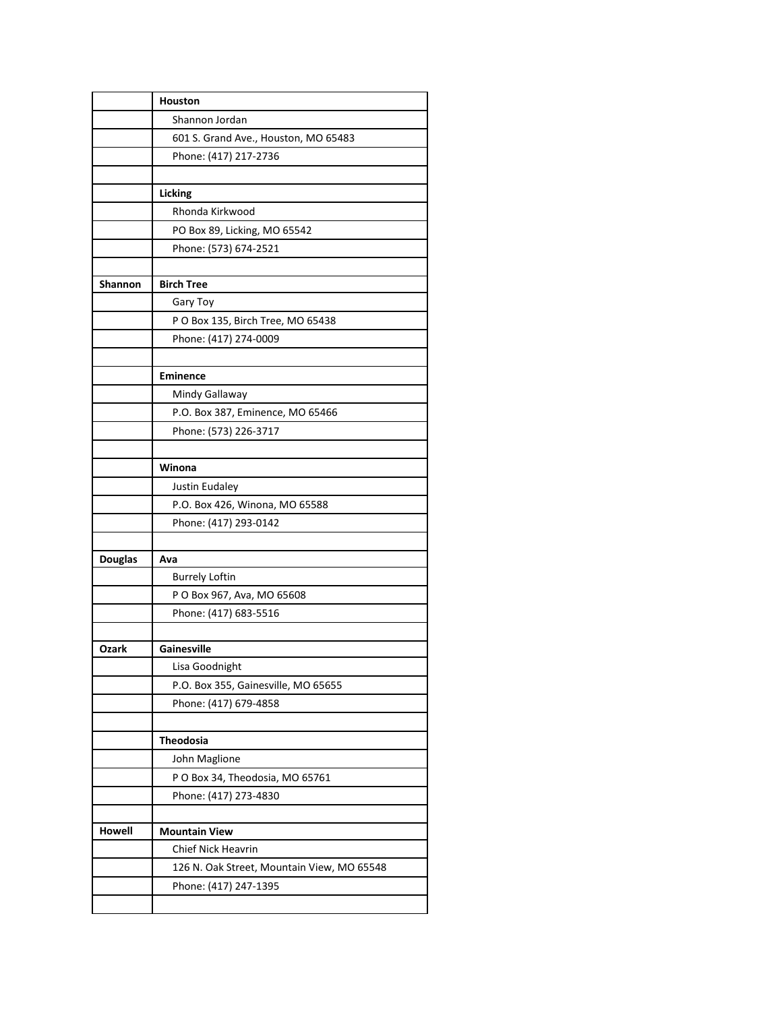|                | <b>Houston</b>                             |
|----------------|--------------------------------------------|
|                | Shannon Jordan                             |
|                | 601 S. Grand Ave., Houston, MO 65483       |
|                | Phone: (417) 217-2736                      |
|                |                                            |
|                | Licking                                    |
|                | Rhonda Kirkwood                            |
|                | PO Box 89, Licking, MO 65542               |
|                | Phone: (573) 674-2521                      |
|                |                                            |
| <b>Shannon</b> | <b>Birch Tree</b>                          |
|                | Gary Toy                                   |
|                | P O Box 135, Birch Tree, MO 65438          |
|                | Phone: (417) 274-0009                      |
|                |                                            |
|                | <b>Eminence</b>                            |
|                | Mindy Gallaway                             |
|                | P.O. Box 387, Eminence, MO 65466           |
|                | Phone: (573) 226-3717                      |
|                |                                            |
|                | Winona                                     |
|                | Justin Eudaley                             |
|                | P.O. Box 426, Winona, MO 65588             |
|                | Phone: (417) 293-0142                      |
|                |                                            |
| <b>Douglas</b> | Ava                                        |
|                | <b>Burrely Loftin</b>                      |
|                | P O Box 967, Ava, MO 65608                 |
|                | Phone: (417) 683-5516                      |
| Ozark          | Gainesville                                |
|                | Lisa Goodnight                             |
|                | P.O. Box 355, Gainesville, MO 65655        |
|                | Phone: (417) 679-4858                      |
|                |                                            |
|                | <b>Theodosia</b>                           |
|                | John Maglione                              |
|                | P O Box 34, Theodosia, MO 65761            |
|                | Phone: (417) 273-4830                      |
|                |                                            |
| Howell         | <b>Mountain View</b>                       |
|                | Chief Nick Heavrin                         |
|                | 126 N. Oak Street, Mountain View, MO 65548 |
|                | Phone: (417) 247-1395                      |
|                |                                            |